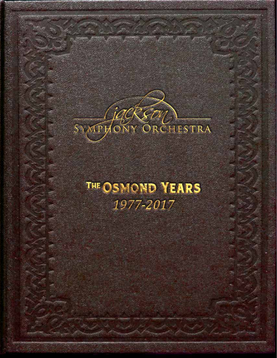

## **THE OSMOND YEARS** 1977-2017

The Osmond years *1977-2017*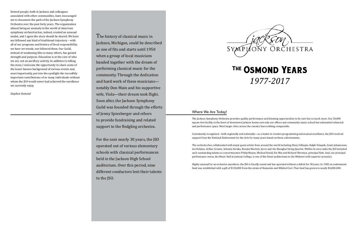The Osmond years *1977-2017* The Osmond years *1977-2017*

#### Where We Are Today!

The Jackson Symphony Orchestra provides quality performance and listening opportunities to be sure but so much more. Our 20,000 square foot facility in the heart of downtown Jackson houses not only our offices and community music school but substantial rehearsal and performance space. Most larger cities across the country have nothing comparable.

Consistently recognized—both regionally and nationally—as a leader in creative programming and musical excellence, the JSO received support from the National Endowment for the Arts for many years based on these achievements.

The orchestra has collaborated with major guest artists from around the world including Dizzy Gillespie, Ralph Votapek, Grant Johannesen, Ian Hobson, Arthur Greene, Solomia Soroka, Borojoi Martinic Jercic and the Shanghai String Quartet. Within its own ranks the JSO included such outstanding talents as concertmasters Philip Mason, Michael Heald, Xie Min and Richard Sherman, principal flute. And, our principal performance venue, the Music Hall at Jackson College, is one of the finest auditoriums in the Midwest with superior acoustics.

Highly unusual for an orchestra anywhere, the JSO is fiscally sound and has operated without a deficit for 38 years. In 1982 an endowment fund was established with a gift of \$150,000 from the estate of Benjamin and Mildred Carr. That fund has grown to nearly \$4,000,000.

## The Osmond Years *1977-2017*

The history of classical music in Jackson, Michigan, could be described as one of fits and starts until 1950 when a group of local musicians banded together with the dream of performing classical music for the community. Through the dedication and hard work of these musicians notably Don Main and his supportive wife, Viola—their dream took flight. Soon after, the Jackson Symphony Guild was founded through the efforts of Jenny Spiesberger and others to provide fundraising and related support to the fledgling orchestra.

For the next nearly 30 years, the JSO operated out of various elementary schools with classical performances held in the Jackson High School auditorium. Over this period, nine different conductors lent their talents to the JSO.



Several people, both in Jackson and colleagues associated with other communities, have encouraged me to document the path of the Jackson Symphony Orchestra over the past forty years. The organization almost being an anomaly in the world of American symphony orchestras has, indeed, created an unusual model, and I agree the story should be shared. We have not followed any kind of traditional trajectory – with all of our programs and history of fiscal responsibility, we have set trends, not followed them. Our Guild, instead of weakening like so many others, has gained strength and purpose. Education is at the core of who we are, not an ancillary activity. In addition to telling the story, I welcome the opportunity to share some of the lesser known background of various events and, most importantly, put into the spotlight the incredibly important contributions of so many individuals without whom the JSO would never had achieved the excellence we currently enjoy.

*Stephen Osmond*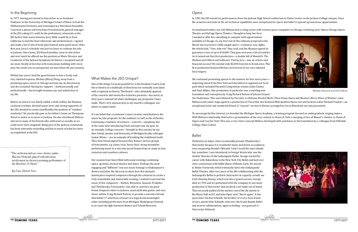#### In the Beginning

In 1977, having just moved to Ann Arbor as an Assistant Professor at the University of Michigan School of Music to lead the Philharmonia Orchestra and Contemporary Directions Ensemble, I received a phone call from Hanz Freuchtenicht, general manager of the JSO, asking if I could do the preliminary rehearsals at the JSO before their music director, Jerry Bilik, would fly in from California to lead the final rehearsals and performances. I agreed and made a lot of new friends plus learned some good music. After that year, Jerry's schedule was just too busy to continue his role in Jackson. Steve Jones, JSO Board member, came to Ann Arbor and over lunch he offered me the position as Music Director and Conductor of the Jackson Symphony Orchestra. I accepted and off we went. Slowly at first but with momentum building with every year, the result was an unexpected, yet marvelous 40 year journey.

Within four years I had the good fortune to lure a lovely and very talented soprano, Melissa (Missy) Borg, away from a promising opera career in Chicago and join me on this journey and she accepted! Having her support —both personally and professionally—has brought immense joy and satisfaction to my life.

Before we knew it our family added a child, Ashley. Jim Beaman, a Jackson resident, devoted music lover and strong supporter of the JSO, decided to create (unofficially) the position of "resident conductor." He practically gave us his father's home on Thompson Street to entice us to move to Jackson. He also introduced Melissa and me to many of his friends who embraced us socially as we could never have imagined. Being part of the Jackson community has been extremely rewarding and key to much of what has been accomplished at the JSO.

### What Makes the JSO Unique?

One of the things I'm most grateful for is the freedom I had to lead the orchestra in a multitude of directions not normally associated with a regional orchestra. The Board—who ultimately approve of the concerts and events the orchestra presents—has never, in forty years, rejected let alone challenged, any proposals I have made. That's very unusual and, as my maestro colleagues can attest, so appreciated.

It's my belief that a conductor's most creative contribution is the music he/she programs for the audience as well as the orchestra. Continuing a tradition of overture – concerto - symphony but at the same time introducing fresh concepts was my goal. As an example, Collage concerts—brought to this country by my dear friend, mentor and University of Michigan faculty colleague Gustav Meier— are an example of breaking the traditional mold. They have broad appeal because they feature various groups of instruments, e.g. duets, trios, brass choir, string ensembles performing music in a very fast paced format from as many as four centuries and countless cultures.

Our seasons have been filled with many evenings combining opera, operetta, musical theatre and dance. Perhaps the most engaging and "different" was our music homage to Shakespeare's *Romeo and Juliet*. My idea was to show how this dramatic masterpiece inspired composers through the centuries to create a truly remarkable and memorable evening. I wanted to present the music of five composers – Berlioz, Bernstein, Gounod, Prokofiev and Tchaikovsky. Fortunately I was able to convince my good friend, frequent visitor to Jackson, musical/drama genius and very clever author, Craig Richard Nelson, to provide a narrative thread that linked 17 selections of music in a logical and meaningful order, including performers from Michigan Shakespeare Festival to re-enact the fight between Romeo and Tybold Marcucio.

#### Opera

In 1981 the JSO moved its performances from the Jackson High School auditorium to Potter Center on the Jackson College campus. Since the acoustics and state of the art technical capabilities were exceptional for opera and ballet it opened up numerous opportunities.

As mentioned earlier, my wife Melissa had a rising career with various opera companies in Chicago, including Lyric Opera, Chicago Opera Theatre and DuPage Opera Theatre. I thought to keep her here I needed to offer her something to compete with opportunities available in Chicago. So, my first out-of-the-ordinary proposal to the Board was to present a fully-staged opera—costumes, sets, lights, the whole deal. "Sure, why not," they said, and Jim Beaman agreed to guarantee a loss of up to \$10,000. That gave everyone a bit of comfort. As it turned out that first production—a double bill of Menotti's *The Medium* and Gilbert and Sullivan's *Trial by Jury*—was an artistic and financial success! We needed only \$2,000 from Jim to break even. This first production featured Melissa and several of our very talented local singers.

To encourage further interest, we founded the Michigan Opera Academy, a training program focused on undergraduate singing majors. With Melissa's leadership that led to a presentation of the very comical *Le Nozze di Tutti*, a merging of two of Mozart's classics *Le Nozze di Figaro* and *Cosi fan Tutti*. This was a very clever concept Melissa developed with assistance in the translation by a colleague from Hillsdale College, Eden Casteel.

#### Ballet

We continued presenting operas in the summer for four more years importing talent from New York and elsewhere to augment our local pool which included Pavarotti Competition winners John Cimino and Paul Adkins. One production in particular was a startling new translation and conception by Craig Richard Nelson of Johann Strauss' *Die Fledermaus*. This was followed by Puccini's *La Boheme*, Brecht/Weil's *Three Penny Opera* and Nicolai's *Merry Wives of Windsor*. Later Melissa took center stage again in a production of *Tosca* that also featured Metropolitan Opera star and Jackson native Richard Fracker—an exceptional artist and wonderful friend. A "concert" version of *Kismet*, arranged by Gerry Blanchard was also presented. Melissa Osmond and Paul Adkins

Orchestras in major cities occasionally present Tchaikovsky's *Nutcracker* because it is wonderful music and draws an audience, even surpassing Handel's *Messiah*. I don't recall the exact details but, somehow, I was introduced to George Vertak who was the Artistic Director of the Indianapolis Ballet. George started his career with Balanchine in the New York City Ballet and had very close connections with Ballet Russe of Monte Carlo. He moved to Butler University which eventually led to the Indianapolis Ballet Theatre. After two years of the JSO collaborating with the Indianapolis Ballet to perform *Nutcracker* to capacity crowds we tried *Sleeping Beauty*, which was also a grand success. George died in 1993 and we performed with the company in one more production of *Nutcracker* that involved a set made out of metal. That set nearly pulled all the anchors out of the fly system in the Music Hall at JCC and John Piper said, "Never again." A few years later Gordon Schmidt, the brother of a very close friend of ours, pianist Kim Schmidt, took over the Grand Rapids Ballet and several collaborations, again including – you guessed it – *Nutcracker* followed.







"The orchestra and 100 voice chorus, under Maestro Osmond, played with infectious involvement in a heaven storming performance of the *Bruckner Te Deum*."

Jay Carr, *Detroit News*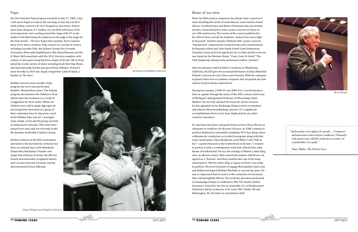#### Pops

Our first Summer Pops program was held on July 17, 1982, a day I will never forget as early in the morning on that day our first child, Ashley, arrived at St. Joe's Hospital in Ann Arbor. Twelve years later, doing an E.T. medley, our son Erik with many of his contemporaries were cycling around the stage with E.T. in the basket of his bike facing the audience on the edge of the stage for the final chords – I'll never forget that moment. Every summer since we've done a Summer Pops concert in a variety of venues, including Cascades Falls, the Jackson County Fair Grounds, Consumers Riverwalk Amphitheatre, Ella Sharp Museum and the JC Music Hall sometimes with the 1812 *Overture* complete with cannon or shot guns being fired into empty oil drums. We've been joined by a wide variety of talent including locals like Chip Mezzo and internationally known jazz great Dizzy Gillespie. Featured most recently in 2014 was singer/songwriter Laith Al-Saadi, a finalist on *The Voice*.

Holiday Concerts were usually a Pops program but we've also performed Handel's *Messiah* three times. The holiday program also features the Children's Choir which came into existence as a result of a suggestion by Steve Sayles. When our children were still in single digit ages, he encouraged the formation of a group of their contemporaries to sing some carols at the Holiday Pops concert. I arranged some simple carols and the group received an enthusiastic welcome. They have been around ever since and are currently under the dynamic leadership of Jackie Livesay.

Further evidence of the JSO's maturation and talent is the fact that the orchestra has been on national tours with Mannheim Steamroller, Manhattan Transfer and singer Anne Murray. At home, the JSO has hosted internationally recognized talents such as actor/narrator Ed Asner and the aforementioned Dizzy Gillespie.

#### Music of our time

It's also been my honor and good fortune to have Bruce Brown a composer-in-residence for the past 30 years. In 1986 I wanted to perform Beethoven's monolithic *Symphony #9*. It has always bee a dilemma for conductors as to what to program along with this iconic masterpiece. Since Beethoven used Shiller's text "Ode to Joy"—a poem focused on the brotherhood of all men—I wanted to partner it with a contemporary work that reflected the same theme of brotherhood. For me, the writings of Martin Luther King were an obvious choice. After several discussions with Bruce, we agreed on a "formula" and three months later one of his many masterpieces "*Martin Luther King, a Legacy of Vision*" was ready to perform. We were fortunate to engage Metropolitan Opera sta and Hollywood legend, William Warfield, to narrate the piece. He was so impressed that he took it to the orchestras of Cincinnati, Ohio and Springfield, Illinois. The work has also been performed in Champaign-Urbana, IL; Baltimore, MD; The South Carolina Governor's School for the Arts in Greenville, SC; at Northwestern University and by orchestras in St. Louis, MO; Toledo, OH and Washington, DC; the latter in Constitution Hall!



Music by 20th century composers has always been a passion of mine including the works of Leslie Basset, Laura Clayton, David Gibson, Crawford Gates and Robert DeGaetano who my brother, Gordon, commissioned to write a piano concerto in honor of our 10th anniversary. The review of the concert published in the *Detroit News* carried the headline: "Jackson has every right to be proud." Another premier followed with a piano concerto "Pentameron" composed by Crawford Gates and commissioned by frequent soloist and close family friend Grant Johannesen. Crawford, Grant and I had significant ties to Utah and the concerto was based on the Mormon Hymn, "*Come, Come Ye Saints*." The Utah Symphony subsequently performed another "premier."

After its premiere with his father's orchestra in Mendocino, California, the JSO gave the second performance of Julian Waterfall Pollack's *Concerto for Jazz Piano and Orchestra*. With the composer as pianist there was an audience response that surpassed any that anyone had previously experienced.

During two seasons, (1990-91 and 2000-01), I was fortunate to have as a guide through the music of the 20th century, University of Michigan's distinguished Professor of Musicology, Glenn Watkins. He not only selected the music for all ten concerts, he also appeared at our Backstage Glimpse series to introduce and enhance these breathtaking concerts. It's a significant accomplishment that's never been duplicated by any other orchestra anywhere.

Bruce Brown



Ed Asner and Stephen Osmond



Dizzy Gillespie and Stephen Osmond

| ıs<br>0<br>'n | "Jackson has every right to be proudComposer                                                                                        |
|---------------|-------------------------------------------------------------------------------------------------------------------------------------|
|               | and musicians team to honor conductor. Osmond's<br>roth anniversary with the orchestra is a source of<br>considerable civic pride." |
| ıg            | Nancy Malitz, <i>The Detroit News</i>                                                                                               |
| ė             |                                                                                                                                     |
| ìΓ            |                                                                                                                                     |
| ė             |                                                                                                                                     |
|               |                                                                                                                                     |

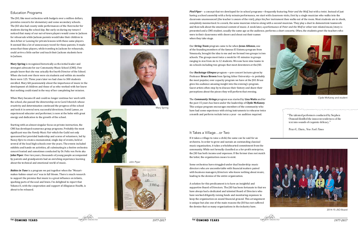#### Education Programs

The JSO, like most orchestras with budgets over a million dollars, provides concerts for elementary and some secondary schools. The JSO also had county wide performances of the *Nutcracker* for students during the school day. But early on during my tenure I noticed that many of our out-of-town players would come to Jackson for rehearsals while Jackson parents would take their children to Ann Arbor or Lansing for private lessons with these same players. It seemed like a lot of unnecessary travel for these parents. It made sense that those players, while traveling to Jackson for rehearsals, could arrive a little earlier and teach their Jackson students here in Jackson.

**Mary Spring** is recognized historically as the initial leader and strongest advocate for our Community Music School (CMS). Few people know that she was actually the fourth Director of the School. When she took over there were six students and within six months there were 125. Three years later we had close to 300 students enrolled. Mary felt passionately about the importance of music in the development of children and those of us who worked with her knew that nothing could stand in the way of her completing her mission.

When Mary became ill and could no longer continue her work with the school, she passed the directorship on to Carol Ivkovich whose creativity and determination continued the progress of the school and took it in several new, successful directions. David Lamse, an experienced educator and performer, is now at the helm with great energy and dedication to the growth of the school.

Starting with an almost singular focus on private instruction, the CMS has developed numerous group programs. Probably the most significant was the *Family Music Fair* which the Guild not only sponsored but provided leadership and scores of volunteers, led by Nancy Kyro to create a monumental, single day of events, held at several of the local high schools over the years. The events included exhibits and hands-on activities, all culminating in a festive orchestra concert hosted and sometimes conducted by Dr. Felix von Forte aka **John Piper**. Over ten years, thousands of young people accompanied by parents and grandparents had an enriching experience learning about the technical and emotional world of music.

*Babies in Tune* is a program we put together when the "Mozartmakes-babies-smart era" was in full bloom. There is much research to support the premise that music is a great influence on infants, sparking parts of the soul and brain. I'm delighted to report that Volume II, with the cooperation and support of Allegiance Health, is about to be released.





*Pied Piper* – a concept that we developed for in-school programs—frequently featuring *Peter and the Wolf*, but with a twist. Instead of just having a school assembly with a forty minute performance, we start with classroom visits, first by a single musician who walks into the classroom unannounced (the teacher is aware of the visit), plays his/her instrument then walks out of the room. Most students are in shock, completely mesmerized. In a week, the same musician returns along with a second musician. They play a duet to demonstrate teamwork and then talk about the emotional content of music. A week later, a performance of *Peter and the Wolf* or other text related music/story is presented and a CMS student, usually the same age as the audience, performs a short concerto. Often, the students greet the teachers who were in their classrooms with cheers and shout out their names when they take stage.

Our *String Team* program came to be when **Jesus Alfonzo**, one of the founding members of the famous El Sistema program from Venezuela, brought the idea to me and we formed two groups in two schools. The groups meet twice a week for 45 minutes in groups ranging in size from six to 12 students. We now have nine teams in six schools including two groups that meet downtown at the JSO.

Our *Backstage Glimpse* program —pre-concert lectures given by Professor **Bruce Brown** from Spring Arbor University—is probably the most popular, over capacity program we have at the JSO. Bruce gives his audience amazing insight into the evening's program. Guest artists often stop by to discuss their history and share their perceptions about the pieces they will perform that evening.

The *Community Strings* program was started by **Lisa Waits** and for the past 15 years has been under the leadership of **Clyde McKaney**. This unique program encourages members of the community who have had some experience with string instruments to rehearse twice a month and perform recitals twice a year - no audition required.

#### It Takes a Village…or Two

If it takes a village to raise a child, the same can be said for an orchestra. In order to grow and sustain an outstanding classical music organization, it takes a wholehearted commitment from the community. While not formally classified as a for-profit enterprise, the JSO has both income and expenses. If the former does not match the latter, the organization ceases to exist.

Some orchestras have struggled under dual leadership: music directors who are uncomfortable with financial matters paired with business managers/directors who know nothing about music, leading to the demise of the entire organization.

A solution for this predicament is to have an insightful and supportive Board of Directors. The JSO has been fortunate in that we have always had a dedicated and talented Board of Directors who have worked diligently raising funds and monitoring expenses to keep the organization on sound financial ground. This arrangement is unique but also one of the main reasons the JSO has not suffered the demise that so many organizations in the industry have.



Clyde McKaney and student

Mary Spring





John Piper

2014-15 JSO Board

"The talented performers conducted by Stephen Osmond distilled the innocent tenderness of the text into sounds of exquisite delicacy."

Peter G. Davis, *New York Times*



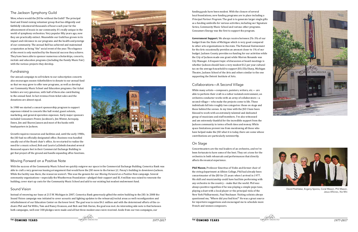#### The Jackson Symphony Guild

Wow, where would the JSO be without the Guild? The principal fund and friend raising volunteer group that has diligently and faithfully volunteered thousands of hours each year for the advancement of music in our community. It's really unique in the world of symphony orchestras. Very popular fifty years ago, now they are practically extinct. Meanwhile our Guild has grown in its impact and relevance in our programs and the health and prestige of our community. The annual Ball has achieved and maintained a reputation as being "the" social event of the year. The elegance of the event is only matched by the financial success they achieve. They have been able to sponsor numerous scholarships, concerts, recitals and education programs (including the Family Music Fair) with the various projects they develop.



#### Fundraising

Our annual campaign to sell tickets to our subscription concerts also encourages season ticketholders to donate to our annual fund so that we may grow to offer new programs, as well as develop our Community Music School and Education programs. Our ticket holders are very generous, with half of them also contributing to the annual fund. In fact revenue from ticket sales and the donations are almost equal.

In 1980 we started a concert sponsorship program to support expenses related to concerts like hall rental, guest soloists, marketing, and general operation expenses. Early major sponsors included Consumers Power, Jacobson's, Jim Winter, Aeroquip, Dawn, Jim and Sharon Jansen and most of the banks with headquarters in Jackson.

Growth requires resources and facilities and, until the early 1980s, the JSO had no officially designated office. Business was handled usually out of the Board chair's office. As we started to realize the need for a music school, Bob and Laurie LaZebnik donated several thousand square feet in their Commercial Exchange Building to get that project off the ground and handle expanding office functions.

#### Moving Forward on a Positive Note

With the success of the Community Music School we quickly outgrew our space in the Commercial Exchange Building. Comerica Bank was able to craft a very generous leasing arrangement that would have the JSO move to the former J.C. Penny's building in downtown Jackson. While the facility was there, the resources weren't. This was the genesis for our *Moving Forword on a Positive Note* campaign. Several community organizations—especially the Weatherwax Foundation—pledged their support and \$1.4 million was raised to renovate the building, cover start up costs for the Community Music School and add to our existing but modest endowment fund.

#### Sound Vision

Instead of renewing our lease at 215 W. Michigan in 2007, Comerica Bank generously gifted the entire building to the JSO. In 2008 the Sound Vision campaign was initiated to cover acoustic and lighting updates to the rehearsal/recital areas as well reconfiguration and refurbishment of our Education Center on the lower level. The goal was to raise \$4.1 million and with the determined efforts of the cochairs Phil and Pat Willis, Tom and Nancy Evanson, and Rick and Deb Davies, the goal was met. An interesting side note is that between both campaigns, well over 300 pledges were made and all but three modest ones were received. Aside from our two campaigns, our



funding goals have been modest. With the closure of several local foundations, new funding programs are in place including a *Principal Partner Program*. The goal is to generate larger single gifts as a funding umbrella for various activities, including our Signature Series, Community Music School and various other programs. Consumers Energy was the first to support the program.

**Government Support.** We always receive between 2%-3% of our budget from the State of Michigan which is very good compared to other arts organizations in the state. The National Endowment for the Arts occasionally provides an amount closer to 1% of our budget. Jackson County provides no funding for our activities while the City of Jackson made one grant while Warren Renando was City Manager. A frequent topic of discussion at board meetings is whether Jackson should have a very modest \$12 per year cultural tax on the average household to support JSO, Ella Sharp, Michigan Theatre, Jackson School of the Arts and others similar to the one supporting the Detroit Institute of Arts.

#### Collaborators—A Second Village

While many artists—composers, painters, writers, etc.— are able to perform their craft in a rather isolated environment, an orchestra conductor works with an army of collaborators—a second village— who make the projects come to life. These individuals fall into roughly two categories: those on stage and those behind the scenes. In my time with the JSO I have been blessed to work with an extremely talented and dedicated group of musicians and staff members. I've also witnessed and am extremely thankful for the incredible support from the Jackson community in terms of both time and money. While space limitations prevent me from mentioning all those who have helped make the JSO what it is today, there are some whose contributions are particularly noteworthy.

#### On Stage

Concertmasters are the real leaders of an orchestra, and we've been fortunate to have some of the best. They set a tone for the orchestra in both rehearsals and performances that directly affects the musical experience.

**Phil Mason**, Professor Emeritus of Violin and former chair of the string department at Albion College, Phil had already been concertmaster of the JSO for 25 years when I arrived in 1977. His skill and musicianship could have had him performing with any orchestra in the country – make that the world. Phil was always positive regardless if he was playing a simple pops tune, playing a duet with a local player or the principal viola of the New York Philharmonic, Paul Neubauer. Visiting soloists always questioned me, "Where did you find him?" He was a great source for repertoire suggestions and encouraged me to schedule more French and women composers.





David Peshlakai, Evgeny Sporov, Coral Mason, Phil Mason, Jesus Alfonzo, Xie Min

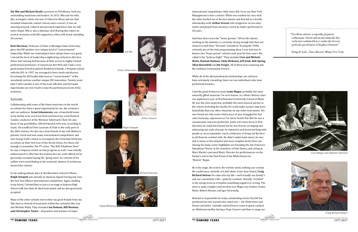**Xie Min and Michael Heald**, succesors to Phil Mason, both are outstanding musicians and leaders. In 2015, Min and his wife, Qin, arranged a three city tour of China for Missy and me that included rehearsals, master classes and a concert. It was an amazing musical, cultural and personal experience that we will never forget. Min is also a fabulous chef sharing that talent on several occasions with JSO supporters, often with feasts including 20 courses.

**Rick Sherman**, Professor of Flute at Michigan State University, gives the JSO another very unique level of "concertmaster" leadership. While our wind players have always been very good, I envied the level of leadership neighboring orchestras like Ann Arbor and Lansing had because of their access to highly trained professional professors. It turned out that Rick and I had a very good mutual friend in pianist Kimberly Schmidt, a frequent soloist with the JSO. In 1997, we arranged to have lunch and discuss his joining the JSO leadership team as "concertmaster" of the woodwind section, another unique JSO innovation. Twenty years later I still consider it one of the most effective and fortunate experiments we ever tried to raise the performance level of the orchestra.

#### Soloists

Collaborating with some of the finest musicians in the world as soloists has been a great opportunity for me, the orchestra and our audience. **Grant Johannesen**, was a household name in my family as he was from Utah and knew my uncle Richard Condie, conductor of the Mormon Tabernacle Choir. He also knew of my grandfather, Alfred Osmond, who was, according to Grant, the unofficial Poet Laureate of Utah in the early part of the 20th Century. He also was close friends of my wife Melissa's parents. Grant had won many international competitions and was George Szell's choice to accompany the Cleveland Orchestra as soloist on their first tour of the Soviet Union. For those old enough to remember the TV series "The Bell Telephone Hour" he was a frequent soloist on that program as well. I was initially embarrassed to offer him the modest fees we could afford yet he graciously accepted saying the "going rates" for soloists of his caliber were contributing to the economic demise of orchestras around the country.

In my undergraduate days at Northwestern School of Music, **Ralph Votapek** was already an alumnae legend having just won the first Van Cliburn International competition. Again, shaking in my boots, I invited him to join us on stage at Jackson High School with less than an ideal instrument and he also graciously accepted.

Many of the other soloists were either my good friends from my Yale days or friends of musicians within the orchestra like Lisa and Michele Waits. They included **Ian Hobson, Bill Westney and Christopher Taylor**—all pianists and winners of major



international competitions. Only twice did I ever use New York Management to hire a soloist. While one worked out very well, the other backed out at the last minute and that led to a terrific relationship with **Arthur Greene** who stepped in on two days notice and played from memory a work he hadn't performed in 20 years.

And then there were the "home growns." All terrific talents working in the industry or certainly strong enough had they not chosen to seek their "fortunes" elsewhere. During the 1990s certainly one of the best programming ideas I ever had was to feature two "home grown" soloists each year for four years. We called it the "Jackson Eight." They included **Liza and Michele Waits, Hannah Holman, Clyde McKaney, Jeff Zook, Bob Spring, Allan Rosenfeld** and **Jim Forgey**. All of them were amazing and the audience/community loved it.

While all of the aforementioned relationships are and have been extremely rewarding, there are two individuals who have performed miracles.

I had the good fortune to meet **Louis Magor**, probably the most naturally gifted musician I've ever known, in a Music History class our sophomore year at Northwestern University School of Music. He was the class superstar, probably the most musical person in the school, including the faculty. He could make a piano sing more beautifully than any other musician on any other instrument. His ears heard not only notes which most of ours struggled for but color, harmony, expression as I've never heard. Not that he was a consummate concerto performer, (with a bit more focus in that direction he could have been) but he was forever arranging and enhancing any style of music he wanted to and loved working with people as an accompanist, coach, conductor, to bring out the best in all those he worked with. He didn't understand music, he was and is music at the simplest and most complex levels there are. Among his many career highlights are founding the San Francisco Symphony Chorus at the invitation of Seiji Ozawa, and acting as Mary Martin's personal Music Director for performances on the Emmy's and in the East Room of the White House for "Ronnie" Regan.

Be it the stage, the screen, the written word, nothing can contain the exuberance, warmth, wit and talent of our dear friend, **Craig Richard Nelson**. He came into my life—well actually our family's and our community's life—quite by accident. Actually "accident" is the wrong word as it implies something negative or wrong. The story is quite complex and involves Lou Magor, my mother, Gustav Meier, Robert Altman, and Igor Stravinsky.

Richard is responsible for many outstanding events the JSO has produced but two in particular stand out— *Die Fledermaus* and *Romeo and Juliet*. I initially enticed him to come to guest conduct an *Oklahoma* medley during a Pops Concert and then to stage our

Xie Min



Ralph Votapek



Clyde McKaney



Louis Magor and Stephen Osmond





Craig Richard Nelson

Grant Johannesen



"Excellent soloists, a superbly prepared, enthusiastic chorusand an uncommonly fine orchestra combined forces under the fervent perfectly paced baton of Stephen Osmond."

Doug de Lisle, *Times Record*, Albany New York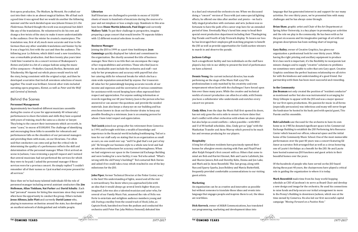first opera production, *The Medium*, by Menotti. He crafted our cast into their roles in an almost magical fashion. We all had such a good time it was agreed that we would do another the following summer and the work decided upon was Johann Strauss Jr.'s *Die Fledermaus*. Richard thought the work was exceptional but didn't like any of the translations. He volunteered to do his own and change a few twists of the story to make it more understandable to the audience. Over the winter he created a masterpiece. The translation was, first of all, much more accurate and true to the German than any other available translations and funnier by far. It was a huge hit, first with the cast and then the audience. The following year *La Boheme,* which didn't need a new translation, was a remarkable production. And then twenty plus years later I told him I wanted to do a concert version of Shakespeare's *Romeo and Juliet* in a bit of a unique fashion using the music of five composers—Prokofiev, Gounod, Berlioz, Bernstein and Tchaikovsky. We figured out which pieces would work to tell the story, being consistent with the original script, and then he developed a narrative that tied all seventeen selections of music together. The result was brilliant. Several other visits included narrating opera programs, *Kismet*, as well as *Peter and the Wolf* and *Carnival of Animals*.

#### Behind the Scenes

#### **Personnel Management**

Approximately two hundred different musicians assemble during the course of a year for approximately 40 rehearsals/ performances to share the talents and skills they have acquired with years of training, much the same as a doctor or lawyer. They bring to the concert their instruments which are worth, in some "cases," in excess of \$100,000. The challenge of identifying and encouraging these folks to assemble for rehearsals and performances falls on the shoulders of our personnel managers and providing them with music, on our librarians. I've often said that conductors can come and go but the critical role in determining the quality of a performance reflects the skill and determination of the personnel manager. When I first arrived on scene in Jackson, I was reviewing a payroll request and I noticed that several musicians had not performed the services for which they were to be paid. I asked the personnel manager if these services were for a previous concert. He simply replied "I couldn't remember all of their names so I just marked everyone present for all services."

Since then we've had many talented individuals fill the role of personnel manager including several assistant conductors like **Jim Holleman, Allan Tinkham, Nat Parker** and **David Schultz** . Each had "personal" reasons for hiring fine musicians since they would often have the opportunity to conduct the group. Others include **Jesus Alfonzo, Julie Platt** and currently **David Lamse** who, playing in numerous orchestras around the state, has developed an excellent network of distinguished and reliable people.

#### **Librarian**

Staff librarians are challenged to provide in excess of 10,000 sheets of music to hundreds of musicians during the course of a year and not misplace or lose a single copy. Standouts in this area have been **Diane Martin Johncock, Paul Zieger** and currently **Mallory Tabb**. To put their challenge in perspective, imagine preparing a pops concert that would involve 70 separate folders with 12 different musical selections in each one.

#### **Business Manager**

Joining the JSO in 1999 as a part-time bookkeeper, **Joan Cummings** quickly displayed her talent and commitment to the organization. She shortly assumed the title of business manager. Now there is no title that can encompass the range of her responsibilities and activities. Those who find Joan to be an invaluable asset include the orchestra and staff—not only for her promptness and accuracy with payroll but also her catering skills for rehearsal breaks for which she has a state-wide reputation unmatched by anyone. Our treasurers all value her for painstakingly keeping accurate records of our income and expenses and the secretaries of various committees for assistance with record keeping have often expressed their respect and appreciation. For anyone seeking information or records regarding our 68 year history, Joan is the person who has answered or can answer the questions and provide the needed materials. Joan also keeps a sharp eye on our building and has even been known to clean out the elevator drains to keep any possible flooding to a minimum. Joan is an amazing person for whom I have total respect and appreciation.

**Ted Cusick** joined our group after his retirement from Comerica in 1991 and brought with him a wealth of knowledge and experience in the financial world including bookkeeping. Ted set a tone for our staff early on stating that in an organization as small as ours, no one could ever say: "well I'm glad that's not part of my job." He brought our business style to a whole new level and had an infectious enthusiasm for accuracy and thoroughness. When we had outgrown our space in the Commercial Exchange Building and were looking for a new facility, it was Ted who asked: "What's wrong with the old Penny's building?" Ted contacted Rick Davies and asked if we could take a tour, which resulted in one of the key milestones for the JSO.

**John Piper**, former Technical Director at the Potter Center, was/ is the best! His understanding of lights, sound and all the rest is extraordinary. You knew when you approached John with an idea that it would always go several levels higher than you imagined. John was also a talented musician and actor who, for several of our Family Music Fair, assumed the role of Felix von Forte to entertain and enlighten audience members young and old. During a medley from the sound track of *Hook,* John, as Captain Hook, banished me from the podium and conducted the orchestra until Peter Pan (aka Melissa Osmond) defeated him

#### **Jackson College**

Such a magnificent facility and two individuals on the staff have played a key role in our ability to present the level of performance we have achieved.

**Dennis Young**, the current technical director, has made performing on the stage of the Music Hall a joy! His professionalism is only matched by his creativity and even temperament when faced with the challenges I have forced upon him over these many years. While the creative and technical worlds of concert production can often be at odds, with Dennis you have a collaborator who understands and enriches every concert we present.

**Cindy Allen**, from the days the Music Hall first opened its doors, has not only gone the extra mile to ensure we have dates that don't conflict with other orchestras with whom we share players but also helps us avoid conflicts—when possible—with MSU and U of M football schedules. Also, Cindy got us "gigs" with the Manhattan Transfer and Anne Murray which proved to be much fun and revenue producing for our players.

in a duel and returned the orchestra to me. When we discussed doing a "concert" version of *Tosca* with just some special lighting effects, he offered one idea after another and presto – we had a fully staged production with costumes and sets. Jackson was so fortunate to have the path of his career stop here for an extended period of time. Eventually Macy's lured him away to head their special event production department including their Thanksgiving Day Parade and Fourth of July Firework display. To lessen our loss he has leveraged their employee gift matching program to benefit the JSO as well as provide opportunities for Guild auction winners to march in and observe the parade. language that has generated interest in and support for our many activities. For over thirty years, we've presented him with many challenges and he has always come through. **Brian Shaw**, graphic artist and Chair of the Art Department at and the role we play in the community. He has been with us for the past six seasons and his imaginative pairings of art with our program descriptions has been nothing short of inspiring. **Gary Bailey**, owner of Creative Graphics, has given our

#### **Hospitality**

A long list of Jackson residents have graciously opened their homes for afterglow events starting with Pam and Floyd Pond after Ralph Votapek's first concert with us. Others that come to mind are Bob and Harriet Emmet, Bob and Laurie LaZebnik, Jim and Sharon Jansen, Bob and Dorothy Kobs, Donna and Jon Lake, and Mark and Jo Anne Rosenfeld. This last group, along with Nan and Sparry Sparks, Joan Boldrey and Marcia Butterfield, frequently provided comfortable accommodations to our visiting guest artists.

#### **Marketing**

An organization can be as creative and innovative as possible but without someone to translate those ideas and events into language that engages people and inspires them to act, the ideas are worthless.

**Dick Korreck**, owner of AK&R Communications, has translated our programming, marketing and development ideas into

# Spring Arbor University, is a key player in promoting our activities

organization a professional look for over thirty years. While having the right printing and ancillary equipment to produce first class work is important, it's the flexibility to incorporate last minute changes and to supply "creative" solutions to problems we sometimes were unable to solve that sets Gary apart. Creative Graphics combines the perfect business relationship we all strive for with the kindness and understanding of a good friend. Our partnership with them has been most successful and rewarding.

#### **In the Community**

**Jim Beaman** not only created the position of "resident conductor" as mentioned earlier but also was instrumental in arranging for Dizzy Gillespie to appear with the JSO and was a major sponsor for our first opera productions. His passion for music in all forms (especially percussion) was infectious and many will never forget the fundraiser he hosted in his back yard with special guest, Tito Puente and his ensemble.

**Bob LaZebnik** saw the need for the orchestra to have its own home so in 1985 he donated significant space in his Commercial Exchange Building to establish the JSO Performing Arts Resource Center which housed our offices, rehearsal space and the initial home of the Community Music School. One of the most memorable performances over the past 40 years was a concert featuring Ed Asner as narrator. Bob arranged that as well as a circus honoring one of Laurie's birthdays as a benefit for the JSO. He and Laurie have hosted numerous JSO functions and guest artists in their beautiful homes over the years.

Of the hundreds of people who have served on the JSO board during these past 40 years, the chairpersons have played a critical role in guiding the organization to where it is today.

**Mark Rosenfeld** made time from his busy world-hopping schedule as CEO of Jacobson's to serve as Board Chair and develop a new design and image for the orchestra. He used his connections to raise funds and help secure our initial arrangement to move to the Penny's Building in downtown Jackson, which was at the time owned by Comerica. He also led our first successful capital campaign *"Moving Forward on a Positive Note."*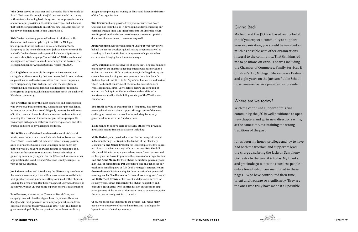**John Cross** served as treasurer and succeeded Mark Rosenfeld as Board Chairman. He brought the JSO business model into being with contracts including basic things such as employee insurance and retirement provisions. His vision was critical and set a tone that took the organization to an entirely new level. His passion for the power of music in our lives is unparalleled.

**Rick Davies** is a strong personal believer in all the arts. His dedication and leadership brought the JSO, the Michigan Shakespeare Festival, Jackson Chorale and Jackson Youth Symphony to the heart of downtown Jackson under one roof. He and wife Debbie also served as part of the leadership team for our second capital campaign "Sound Vision." All the residents of Michigan are fortunate to have him serving on the Board of the Michigan Council for Arts and Cultural Affairs (MCACA).

**Carl English** set an example for corporate involvement and caring about the community that was unexcelled. In an era when corporations, as well as top executives from those companies, were disappearing form Jackson, Carl was the exception by remaining in Jackson and doing an excellent job of keeping a strong focus on groups, which made a difference in the quality of life of our community.

**Ron Griffith** is probably the most connected and caring person who ever served this community. A cheerleader par excellence, he knows everyone, has served diligently on every board I know of in this town and has unbridled enthusiasm and commitment to seeing this town and its various organizations prosper. He was always just a phone call away to answer questions and offer creative solutions to any challenge one faced.

**Phil Willis** is a self declared newbie to the world of classical music; nevertheless, he assumed his role first as Treasurer, then Board Chair. He and wife Pat exhibited extraordinary passion as co-chairs of the Sound Vision Campaign. Some might say that Phil was a junk yard dog when it came to reaching a goal. As many in the community can attest, he was relentless in garnering community support for the JSO as well as several other organizations he loved. He and Pat always lead by example – a very generous example.

**Jon Lake** served us well introducing the JSO to many members of the medical community. He and Donna were always available to host guest artists and numerous afterglows in all of their homes. Leading the orchestra in Beethoven's *Egmont Overture*, dressed as Beethoven, was an unforgettable experience for all in attendance.

**Tom Evanson**, who served as Treasurer, Board Chair, and campaign co-chair, has the biggest heart in Jackson. He cares deeply and is most generous with many organizations in town, especially the ones that involve, as he says, "kids". In addition to great leadership skills, he has provided me with extraordinary

insight in completing my journey as Music and Executive Director of this fine organization.

**Tim Keener** not only provided two years of service as Board Chair, he also took the lead in developing and implementing our current Strategic Plan. The Plan represents innumerable hours working with staff and other board members to come up with a document that continues to serve us very well.

**Arthur Henrie** never served as Board Chair but was very active behind the scenes developing fund raising programs as well as traveling to American Orchestra League workshops and other conferences, bringing back ideas and energy.

**Larry Bullen** is a serious devotee of opera (he'll sing any numbers of arias given the slightest encouragement) who has served the orchestra since the 1980s in various ways, including drafting our current by-laws, helping secure a generous donation from Dr. Andrew Payne in addition to Dr. Payne's Vuillaume violin donation which has been the instrument of choice by concertmasters Phil Mason and Xie Min. Larry helped secure the donation of our current facility from Comerica Bank and established a maintenance fund for the building courtesy of the Weatherwax Foundation.

**Bob Smith,** serving as treasurer for a "long time," has provided a steady hand and excellent support through some of the more challenging recent years as well as he and Mary being very generous donors with the Guild Auctions.

In addition to the above there are several others who provided invaluable inspiration and assistance, including:

**Millie Hadwin,** who provided a vision for the non-profit world in Jackson through her inspired leadership of the Ella Sharp Museum. **Ty and Nancy Cross** for his leadership of the JSO Board for 15 years and her amazing skills as a hostess. **Rob Kendall** who, in addition to being a great adventurous friend, has worked selflessly on the Board to promote the success of our organization. **Bob and Anne Moore** for their stylish dedication, generosity and high level of commitment. **Pat Beffel** for being an auctioneer par excellence in raffling two of A. P. Cook's vintage Mustangs. **Helen Green** whose dedication and quiet determination has generated amazing results. **Sue Rochester** for boundless energy and "reach." **Jan Butterfield Brown** for her talent and dedicated service for so many years. **Brian Funston** for his stylish hospitality, and, of course, **Faith Small** who, despite my lack of success finding arrangements of the music of Montovani, was so supportive, quite the arm twister and great fun to be with.

Of course as soon as this goes to the printer I will recall many people who deserve well-earned mention, and I apologize for lapses in what is left of my memory.

My tenure at the JSO was based on the belief that if you expect a community to support your organization, you should be involved as much as possible with other organizations integral to the community. That thinking led me to positions on various boards including the Chamber of Commerce, Family Services & Children's Aid, Michigan Shakespeare Festival and eight years on the Jackson Public School Board—seven as vice president or president.

Where are we today? With the continued support of this fine community, the JSO is well positioned to open new chapters and go in new directions while, at the same time, maintaining the strong traditions of the past.

It has been my honor, privilege and joy to have had both the freedom and support to lead the charge and bring the Jackson Symphony Orchestra to the level it is today. My thanks and gratitude go out to the countless people only a few of whom are mentioned in these pages—who have contributed their time, talent and treasure so significantly. They are the ones who truly have made it all possible.

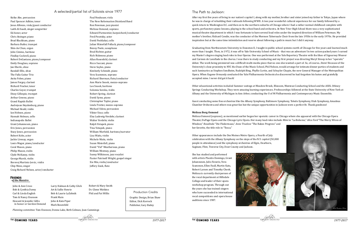Keiko Abe, percussion Paul Spencer Adkins, tenor Jesus Alfonzo, viola/guest conductor Laith Al-Saadi, singer songwriter Ed Asner, actor Chris Atzinger, piano Brad Blackham, piano Barbara Butler, trumpet Shin-Ae Chun, organ John Cimino, baritone Findlay Cockrell, piano Robert DeGaetano, piano/composer Emily Douglass, soprano Jan Eberle, oboe Randall Ellis, oboe The Falla Guitar Trio Anita Fobes, piano James Forgey, clarinet Richard Fracker, tenor Charles Geyer, trumpet Dizzy Gillespie, trumpet Arthur Greene, piano Grand Rapids Ballet Audrejean Heydenburg, piano Michael Heald, violin Ian Hobson, piano Hannah Holman, cello Indianapolis Ballet Grant Johannesen, piano Eric Jones, percussion Stacy Jones, percussion Robert Kobs, actor Jackie Livesay, organ Louis Magor, piano/conductor Coral Mason, piano Philip Mason, violin Clyde McKaney, violin George Marsh, violin Borovoj Martinic-Jercic, violin Chip Mezo, singer Craig Richard Nelson, actor/conductor Paul Neubauer, viola The New Reformation Dixieland Band Ron Newman, jazz pianist Melissa Osmond, soprano Edward Parmentier, harpsichord/conductor Fred Pesetsky, actor David Peshlakai, cello Julian Waterfall Pollack, piano/composer Benny Poole, saxophone Brad Richter, guitar Rich Ridenour, piano Allan Rosenfeld, clarinet Ricco Saccani, piano Steve Sayles, piano Kimberly Schmidt, piano Vera Scammon, soprano Richard Sherman, flute/conductor Ann Marie Snook, mezzo-soprano Lee Snook, baritone Solomia Soroka, violin Robert Spring, clarinet David Syme, piano Christopher Taylor, piano Linda Trotter, mezzo-soprano Michael Udow, percussion Viktor Uzur, cello Elsa Ludewig-Verdehr, clarinet Walter Verdehr, violin Ralph Votapek, piano Tina Votapek, piano William Warfield, baritone/narrator Lisa Waits, violin Michele Waits, violin Susan Waterfall, piano David "Vid" Weatherwax, piano William Westney, piano Sunny Wilkinson, jazz vocalist Pastor Patrinell Wright, gospel singer Xie Min, violin/conductor Jeffery Zook, flute

#### The Path to Jackson:

After my first five years of living in our nation's capitol I, along with my mother, brother and sister joined my father in Tokyo, Japan where he was in charge of rebuilding their railroads following WWII. A two year wonderful cultural experience for our family followed by a quick return to Washington D.C. and then on to the northern suburbs of Chicago where I had a rather normal childhood complete with sports, perfunctory piano lessons, playing in the school band and orchestra. At New Trier High School there was a very sophisticated musical theatre department in which I was fortunate to have several lead roles under the inspired direction of William Peterman. My mother's brother, Richard Condie, was the conductor of the Mormon Tabernacle Choir from the late 1950s to the early 1970s. He provided inspiration but at the same time intimidation and reserve about following a path in music but I did it anyway.

#### **FRIENDS**  *of the Maestro*

Graduating from Northwestern University in Evanston Il, I taught in public school systems north of Chicago for five years and learned much more than I taught. Then, in 1972, it was off to Yale University School of Music - that was an adventure! In two action-packed years I earned my Master's degree singing lead roles in four Operas. One was performed at the Yale Repertory Theatre with the likes of Sigourney Weaver and Carmen de Lavallade in the chorus. I was there to study conducting and my first project was directing Meryl Streep in her "operatic" debut. The work being premiered was a difficult multi-media piece that no one else wanted a part of. So, of course...Steve! Because of the University's close proximity to NYC the Dean of the Music School, Phil Nelson, would arrange for intimate dinner parties of students and such luminaries as Stephen Sondheim, Rudolph Bing, Phyllis Curtin, and Schuyler Chapin, the new General Manager of the Metropolitan Opera. When Eugene Ormandy conducted the Yale Philharmonia Orchestra he discovered he had forgotten his baton and gratefully accepted mine. I never did get it back!

Other educational activities included Summer outings at Meadow Brook, Blossom, Monteux Conducting School and the ASOL Orkney Springs Conducting Workshop. They were amazing learning experiences. Professorships followed at the State University of New York at Albany and the University of Michigan in Ann Arbor, conducting the U of M Philharmonia and Contemporary Music Ensemble.

Guest conducting some fine orchestras like the Albany Symphony, Baltimore Symphony, Toledo Symphony, Utah Symphony, Amadeus Chamber Orchestra and others was great fun but the unique opportunities in Jackson were a perfect fit. Thank goodness!

#### **Melissa Borg Osmond**

Melissa Osmond (soprano), as mentioned earlier began her operatic career in Chicago where she appeared with the Chicago Opera Theater, DuPage Opera and the Chicago Lyric Opera. Her many lead roles include *Mimi* in "La Boheme," *Alice Ford* "The Merry Wives of Windsor," *Rosalinda* ''Die Fledermaus," *Anne Truelove* "The Rakes Progress" and her favorite, the title role in "Tosca."

Other appearances include the Des Moines Metro Opera, a Fourth of July celebration with the Albany Symphony on the steps of the N.Y. capitol (50,000 people in attendance) and the symphony orchestras of Elgin, Dearborn, Saginaw, Flint, Traverse City, Door County and Jackson.

She has studied and performed with artists Placido Domingo, Grant Johannesen, Julio Favario, Vera Scammon, Ellen Faull, Martin Katz, Robert Larsen and Timothy Cheek. Melissa is currently chairperson of the vocal department at Hillsdale College and leader of their opera workshop program. Through out the years she has trained singers who have succeeded in international vocal competitions and opera house auditions since 1987.





John & Ann Cross Bob & Cynthia Davey Carl & Linda English Tom & Nancy Evanson Howard & Jennifer Gillis in honor or Gordon Osmond Larry Halman & Cathy Glick Art & Sallie Henrie Bob & Laurie LaZebnik Frank Main John & Kate Piper Mark Rosenfeld

Robert & Mary Smith Dr. Glenn Watkins Phil and Pat Willis

#### A selected/partial list of Soloists since 1977

Graphic Design, Brian Shaw Editor, Dick Korreck Publisher, Gary Bailey

Production Credits

*Planning committee:* Tom Evanson, Donna Lake, Beth Colman, Joan Cummings